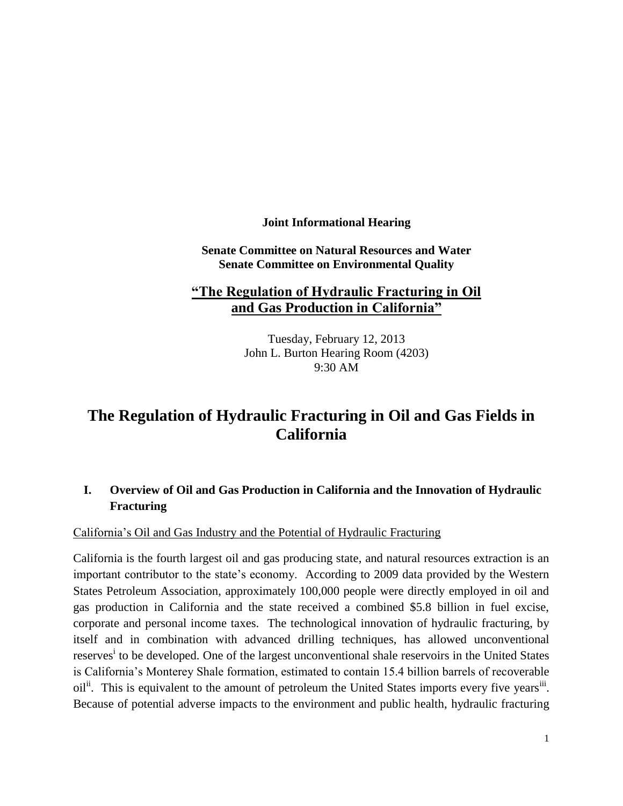**Joint Informational Hearing**

**Senate Committee on Natural Resources and Water Senate Committee on Environmental Quality**

## **"The Regulation of Hydraulic Fracturing in Oil and Gas Production in California"**

Tuesday, February 12, 2013 John L. Burton Hearing Room (4203) 9:30 AM

# **The Regulation of Hydraulic Fracturing in Oil and Gas Fields in California**

## **I. Overview of Oil and Gas Production in California and the Innovation of Hydraulic Fracturing**

California's Oil and Gas Industry and the Potential of Hydraulic Fracturing

California is the fourth largest oil and gas producing state, and natural resources extraction is an important contributor to the state's economy. According to 2009 data provided by the Western States Petroleum Association, approximately 100,000 people were directly employed in oil and gas production in California and the state received a combined \$5.8 billion in fuel excise, corporate and personal income taxes. The technological innovation of hydraulic fracturing, by itself and in combination with advanced drilling techniques, has allowed unconventional reserves<sup>i</sup> to be developed. One of the largest unconventional shale reservoirs in the United States is California's Monterey Shale formation, estimated to contain 15.4 billion barrels of recoverable oil<sup>ii</sup>. This is equivalent to the amount of petroleum the United States imports every five years<sup>iii</sup>. Because of potential adverse impacts to the environment and public health, hydraulic fracturing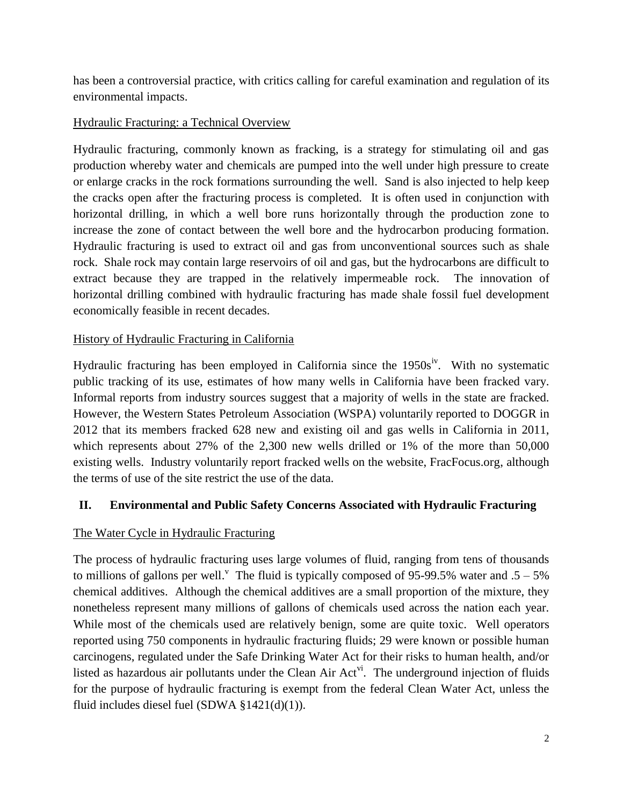has been a controversial practice, with critics calling for careful examination and regulation of its environmental impacts.

## Hydraulic Fracturing: a Technical Overview

Hydraulic fracturing, commonly known as fracking, is a strategy for stimulating oil and gas production whereby water and chemicals are pumped into the well under high pressure to create or enlarge cracks in the rock formations surrounding the well. Sand is also injected to help keep the cracks open after the fracturing process is completed. It is often used in conjunction with horizontal drilling, in which a well bore runs horizontally through the production zone to increase the zone of contact between the well bore and the hydrocarbon producing formation. Hydraulic fracturing is used to extract oil and gas from unconventional sources such as shale rock. Shale rock may contain large reservoirs of oil and gas, but the hydrocarbons are difficult to extract because they are trapped in the relatively impermeable rock. The innovation of horizontal drilling combined with hydraulic fracturing has made shale fossil fuel development economically feasible in recent decades.

#### History of Hydraulic Fracturing in California

Hydraulic fracturing has been employed in California since the  $1950s^{\rm iv}$ . With no systematic public tracking of its use, estimates of how many wells in California have been fracked vary. Informal reports from industry sources suggest that a majority of wells in the state are fracked. However, the Western States Petroleum Association (WSPA) voluntarily reported to DOGGR in 2012 that its members fracked 628 new and existing oil and gas wells in California in 2011, which represents about 27% of the 2,300 new wells drilled or 1% of the more than 50,000 existing wells. Industry voluntarily report fracked wells on the website, FracFocus.org, although the terms of use of the site restrict the use of the data.

#### **II. Environmental and Public Safety Concerns Associated with Hydraulic Fracturing**

## The Water Cycle in Hydraulic Fracturing

The process of hydraulic fracturing uses large volumes of fluid, ranging from tens of thousands to millions of gallons per well.<sup>V</sup> The fluid is typically composed of 95-99.5% water and  $.5 - 5\%$ chemical additives. Although the chemical additives are a small proportion of the mixture, they nonetheless represent many millions of gallons of chemicals used across the nation each year. While most of the chemicals used are relatively benign, some are quite toxic. Well operators reported using 750 components in hydraulic fracturing fluids; 29 were known or possible human carcinogens, regulated under the Safe Drinking Water Act for their risks to human health, and/or listed as hazardous air pollutants under the Clean Air  $Act^{\dot{v}i}$ . The underground injection of fluids for the purpose of hydraulic fracturing is exempt from the federal Clean Water Act, unless the fluid includes diesel fuel (SDWA §1421(d)(1)).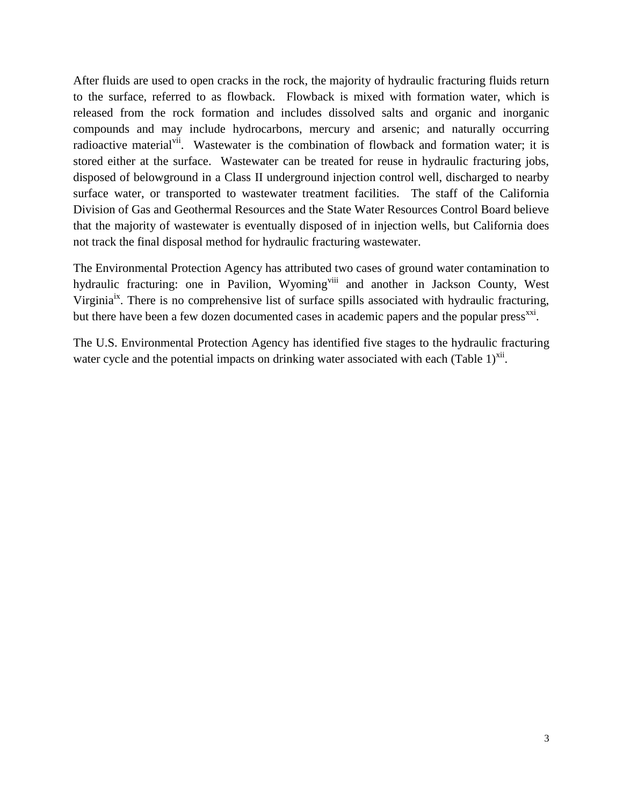After fluids are used to open cracks in the rock, the majority of hydraulic fracturing fluids return to the surface, referred to as flowback. Flowback is mixed with formation water, which is released from the rock formation and includes dissolved salts and organic and inorganic compounds and may include hydrocarbons, mercury and arsenic; and naturally occurring radioactive material<sup>vii</sup>. Wastewater is the combination of flowback and formation water; it is stored either at the surface. Wastewater can be treated for reuse in hydraulic fracturing jobs, disposed of belowground in a Class II underground injection control well, discharged to nearby surface water, or transported to wastewater treatment facilities. The staff of the California Division of Gas and Geothermal Resources and the State Water Resources Control Board believe that the majority of wastewater is eventually disposed of in injection wells, but California does not track the final disposal method for hydraulic fracturing wastewater.

The Environmental Protection Agency has attributed two cases of ground water contamination to hydraulic fracturing: one in Pavilion, Wyoming<sup>viii</sup> and another in Jackson County, West Virginia<sup>ix</sup>. There is no comprehensive list of surface spills associated with hydraulic fracturing, but there have been a few dozen documented cases in academic papers and the popular press<sup>xxi</sup>.

The U.S. Environmental Protection Agency has identified five stages to the hydraulic fracturing water cycle and the potential impacts on drinking water associated with each (Table  $1$ )<sup>xii</sup>.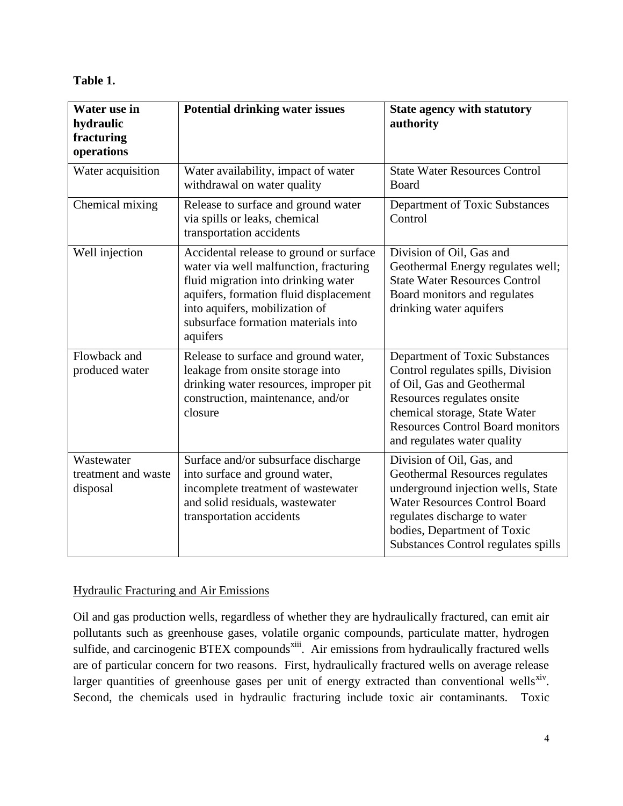#### **Table 1.**

| Water use in<br>hydraulic<br>fracturing<br>operations | <b>Potential drinking water issues</b>                                                                                                                                                                                                                  | <b>State agency with statutory</b><br>authority                                                                                                                                                                                                 |
|-------------------------------------------------------|---------------------------------------------------------------------------------------------------------------------------------------------------------------------------------------------------------------------------------------------------------|-------------------------------------------------------------------------------------------------------------------------------------------------------------------------------------------------------------------------------------------------|
| Water acquisition                                     | Water availability, impact of water<br>withdrawal on water quality                                                                                                                                                                                      | <b>State Water Resources Control</b><br>Board                                                                                                                                                                                                   |
| Chemical mixing                                       | Release to surface and ground water<br>via spills or leaks, chemical<br>transportation accidents                                                                                                                                                        | Department of Toxic Substances<br>Control                                                                                                                                                                                                       |
| Well injection                                        | Accidental release to ground or surface<br>water via well malfunction, fracturing<br>fluid migration into drinking water<br>aquifers, formation fluid displacement<br>into aquifers, mobilization of<br>subsurface formation materials into<br>aquifers | Division of Oil, Gas and<br>Geothermal Energy regulates well;<br><b>State Water Resources Control</b><br>Board monitors and regulates<br>drinking water aquifers                                                                                |
| Flowback and<br>produced water                        | Release to surface and ground water,<br>leakage from onsite storage into<br>drinking water resources, improper pit<br>construction, maintenance, and/or<br>closure                                                                                      | Department of Toxic Substances<br>Control regulates spills, Division<br>of Oil, Gas and Geothermal<br>Resources regulates onsite<br>chemical storage, State Water<br><b>Resources Control Board monitors</b><br>and regulates water quality     |
| Wastewater<br>treatment and waste<br>disposal         | Surface and/or subsurface discharge<br>into surface and ground water,<br>incomplete treatment of wastewater<br>and solid residuals, wastewater<br>transportation accidents                                                                              | Division of Oil, Gas, and<br>Geothermal Resources regulates<br>underground injection wells, State<br><b>Water Resources Control Board</b><br>regulates discharge to water<br>bodies, Department of Toxic<br>Substances Control regulates spills |

## Hydraulic Fracturing and Air Emissions

Oil and gas production wells, regardless of whether they are hydraulically fractured, can emit air pollutants such as greenhouse gases, volatile organic compounds, particulate matter, hydrogen sulfide, and carcinogenic BTEX compounds<sup>xiii</sup>. Air emissions from hydraulically fractured wells are of particular concern for two reasons. First, hydraulically fractured wells on average release larger quantities of greenhouse gases per unit of energy extracted than conventional wells<sup>xiv</sup>. Second, the chemicals used in hydraulic fracturing include toxic air contaminants. Toxic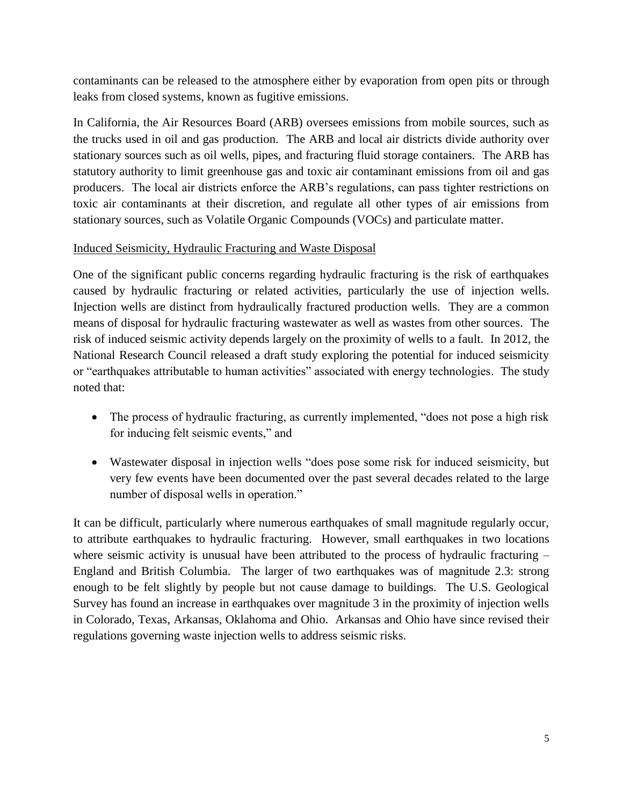contaminants can be released to the atmosphere either by evaporation from open pits or through leaks from closed systems, known as fugitive emissions.

In California, the Air Resources Board (ARB) oversees emissions from mobile sources, such as the trucks used in oil and gas production. The ARB and local air districts divide authority over stationary sources such as oil wells, pipes, and fracturing fluid storage containers. The ARB has statutory authority to limit greenhouse gas and toxic air contaminant emissions from oil and gas producers. The local air districts enforce the ARB's regulations, can pass tighter restrictions on toxic air contaminants at their discretion, and regulate all other types of air emissions from stationary sources, such as Volatile Organic Compounds (VOCs) and particulate matter.

#### Induced Seismicity, Hydraulic Fracturing and Waste Disposal

One of the significant public concerns regarding hydraulic fracturing is the risk of earthquakes caused by hydraulic fracturing or related activities, particularly the use of injection wells. Injection wells are distinct from hydraulically fractured production wells. They are a common means of disposal for hydraulic fracturing wastewater as well as wastes from other sources. The risk of induced seismic activity depends largely on the proximity of wells to a fault. In 2012, the National Research Council released a draft study exploring the potential for induced seismicity or "earthquakes attributable to human activities" associated with energy technologies. The study noted that:

- The process of hydraulic fracturing, as currently implemented, "does not pose a high risk for inducing felt seismic events," and
- Wastewater disposal in injection wells "does pose some risk for induced seismicity, but very few events have been documented over the past several decades related to the large number of disposal wells in operation."

It can be difficult, particularly where numerous earthquakes of small magnitude regularly occur, to attribute earthquakes to hydraulic fracturing. However, small earthquakes in two locations where seismic activity is unusual have been attributed to the process of hydraulic fracturing – England and British Columbia. The larger of two earthquakes was of magnitude 2.3: strong enough to be felt slightly by people but not cause damage to buildings. The U.S. Geological Survey has found an increase in earthquakes over magnitude 3 in the proximity of injection wells in Colorado, Texas, Arkansas, Oklahoma and Ohio. Arkansas and Ohio have since revised their regulations governing waste injection wells to address seismic risks.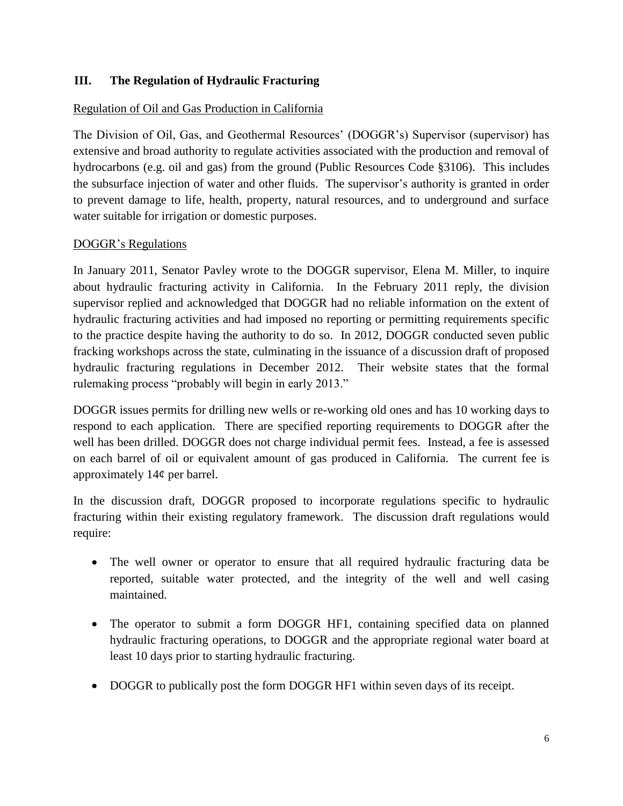#### **III. The Regulation of Hydraulic Fracturing**

#### Regulation of Oil and Gas Production in California

The Division of Oil, Gas, and Geothermal Resources' (DOGGR's) Supervisor (supervisor) has extensive and broad authority to regulate activities associated with the production and removal of hydrocarbons (e.g. oil and gas) from the ground (Public Resources Code §3106). This includes the subsurface injection of water and other fluids. The supervisor's authority is granted in order to prevent damage to life, health, property, natural resources, and to underground and surface water suitable for irrigation or domestic purposes.

#### DOGGR's Regulations

In January 2011, Senator Pavley wrote to the DOGGR supervisor, Elena M. Miller, to inquire about hydraulic fracturing activity in California. In the February 2011 reply, the division supervisor replied and acknowledged that DOGGR had no reliable information on the extent of hydraulic fracturing activities and had imposed no reporting or permitting requirements specific to the practice despite having the authority to do so. In 2012, DOGGR conducted seven public fracking workshops across the state, culminating in the issuance of a discussion draft of proposed hydraulic fracturing regulations in December 2012. Their website states that the formal rulemaking process "probably will begin in early 2013."

DOGGR issues permits for drilling new wells or re-working old ones and has 10 working days to respond to each application. There are specified reporting requirements to DOGGR after the well has been drilled. DOGGR does not charge individual permit fees. Instead, a fee is assessed on each barrel of oil or equivalent amount of gas produced in California. The current fee is approximately 14¢ per barrel.

In the discussion draft, DOGGR proposed to incorporate regulations specific to hydraulic fracturing within their existing regulatory framework. The discussion draft regulations would require:

- The well owner or operator to ensure that all required hydraulic fracturing data be reported, suitable water protected, and the integrity of the well and well casing maintained.
- The operator to submit a form DOGGR HF1, containing specified data on planned hydraulic fracturing operations, to DOGGR and the appropriate regional water board at least 10 days prior to starting hydraulic fracturing.
- DOGGR to publically post the form DOGGR HF1 within seven days of its receipt.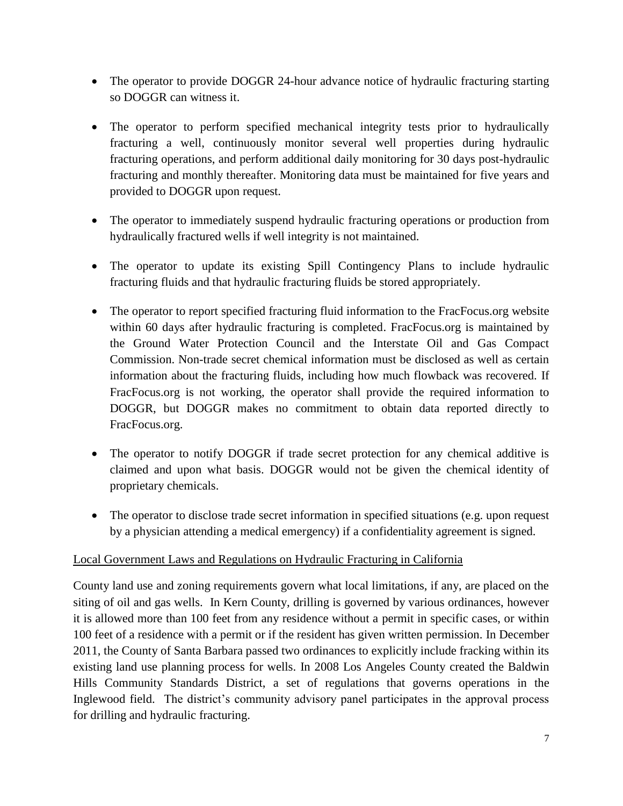- The operator to provide DOGGR 24-hour advance notice of hydraulic fracturing starting so DOGGR can witness it.
- The operator to perform specified mechanical integrity tests prior to hydraulically fracturing a well, continuously monitor several well properties during hydraulic fracturing operations, and perform additional daily monitoring for 30 days post-hydraulic fracturing and monthly thereafter. Monitoring data must be maintained for five years and provided to DOGGR upon request.
- The operator to immediately suspend hydraulic fracturing operations or production from hydraulically fractured wells if well integrity is not maintained.
- The operator to update its existing Spill Contingency Plans to include hydraulic fracturing fluids and that hydraulic fracturing fluids be stored appropriately.
- The operator to report specified fracturing fluid information to the FracFocus.org website within 60 days after hydraulic fracturing is completed. FracFocus.org is maintained by the Ground Water Protection Council and the Interstate Oil and Gas Compact Commission. Non-trade secret chemical information must be disclosed as well as certain information about the fracturing fluids, including how much flowback was recovered. If FracFocus.org is not working, the operator shall provide the required information to DOGGR, but DOGGR makes no commitment to obtain data reported directly to FracFocus.org.
- The operator to notify DOGGR if trade secret protection for any chemical additive is claimed and upon what basis. DOGGR would not be given the chemical identity of proprietary chemicals.
- The operator to disclose trade secret information in specified situations (e.g. upon request by a physician attending a medical emergency) if a confidentiality agreement is signed.

## Local Government Laws and Regulations on Hydraulic Fracturing in California

County land use and zoning requirements govern what local limitations, if any, are placed on the siting of oil and gas wells. In Kern County, drilling is governed by various ordinances, however it is allowed more than 100 feet from any residence without a permit in specific cases, or within 100 feet of a residence with a permit or if the resident has given written permission. In December 2011, the County of Santa Barbara passed two ordinances to explicitly include fracking within its existing land use planning process for wells. In 2008 Los Angeles County created the Baldwin Hills Community Standards District, a set of regulations that governs operations in the Inglewood field. The district's community advisory panel participates in the approval process for drilling and hydraulic fracturing.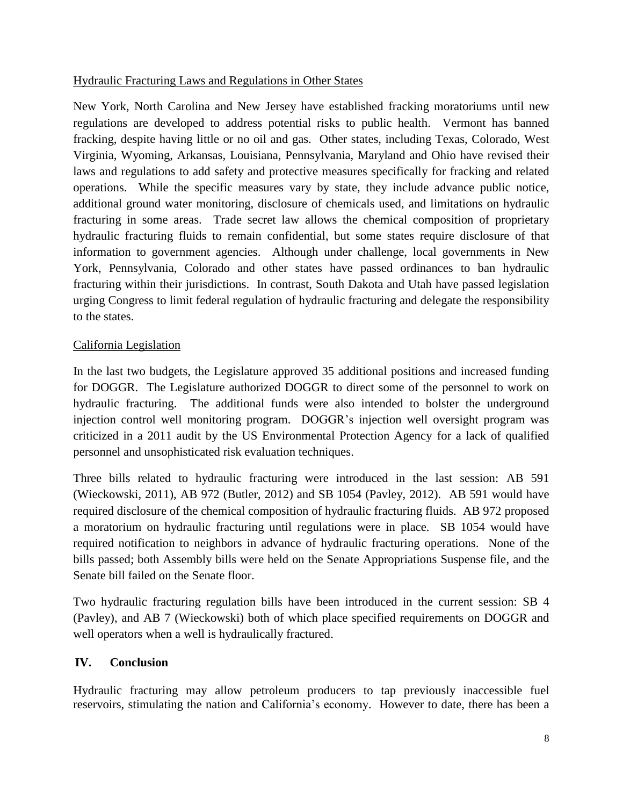#### Hydraulic Fracturing Laws and Regulations in Other States

New York, North Carolina and New Jersey have established fracking moratoriums until new regulations are developed to address potential risks to public health. Vermont has banned fracking, despite having little or no oil and gas. Other states, including Texas, Colorado, West Virginia, Wyoming, Arkansas, Louisiana, Pennsylvania, Maryland and Ohio have revised their laws and regulations to add safety and protective measures specifically for fracking and related operations. While the specific measures vary by state, they include advance public notice, additional ground water monitoring, disclosure of chemicals used, and limitations on hydraulic fracturing in some areas. Trade secret law allows the chemical composition of proprietary hydraulic fracturing fluids to remain confidential, but some states require disclosure of that information to government agencies. Although under challenge, local governments in New York, Pennsylvania, Colorado and other states have passed ordinances to ban hydraulic fracturing within their jurisdictions. In contrast, South Dakota and Utah have passed legislation urging Congress to limit federal regulation of hydraulic fracturing and delegate the responsibility to the states.

#### California Legislation

In the last two budgets, the Legislature approved 35 additional positions and increased funding for DOGGR. The Legislature authorized DOGGR to direct some of the personnel to work on hydraulic fracturing. The additional funds were also intended to bolster the underground injection control well monitoring program. DOGGR's injection well oversight program was criticized in a 2011 audit by the US Environmental Protection Agency for a lack of qualified personnel and unsophisticated risk evaluation techniques.

Three bills related to hydraulic fracturing were introduced in the last session: AB 591 (Wieckowski, 2011), AB 972 (Butler, 2012) and SB 1054 (Pavley, 2012). AB 591 would have required disclosure of the chemical composition of hydraulic fracturing fluids. AB 972 proposed a moratorium on hydraulic fracturing until regulations were in place. SB 1054 would have required notification to neighbors in advance of hydraulic fracturing operations. None of the bills passed; both Assembly bills were held on the Senate Appropriations Suspense file, and the Senate bill failed on the Senate floor.

Two hydraulic fracturing regulation bills have been introduced in the current session: SB 4 (Pavley), and AB 7 (Wieckowski) both of which place specified requirements on DOGGR and well operators when a well is hydraulically fractured.

## **IV. Conclusion**

Hydraulic fracturing may allow petroleum producers to tap previously inaccessible fuel reservoirs, stimulating the nation and California's economy. However to date, there has been a